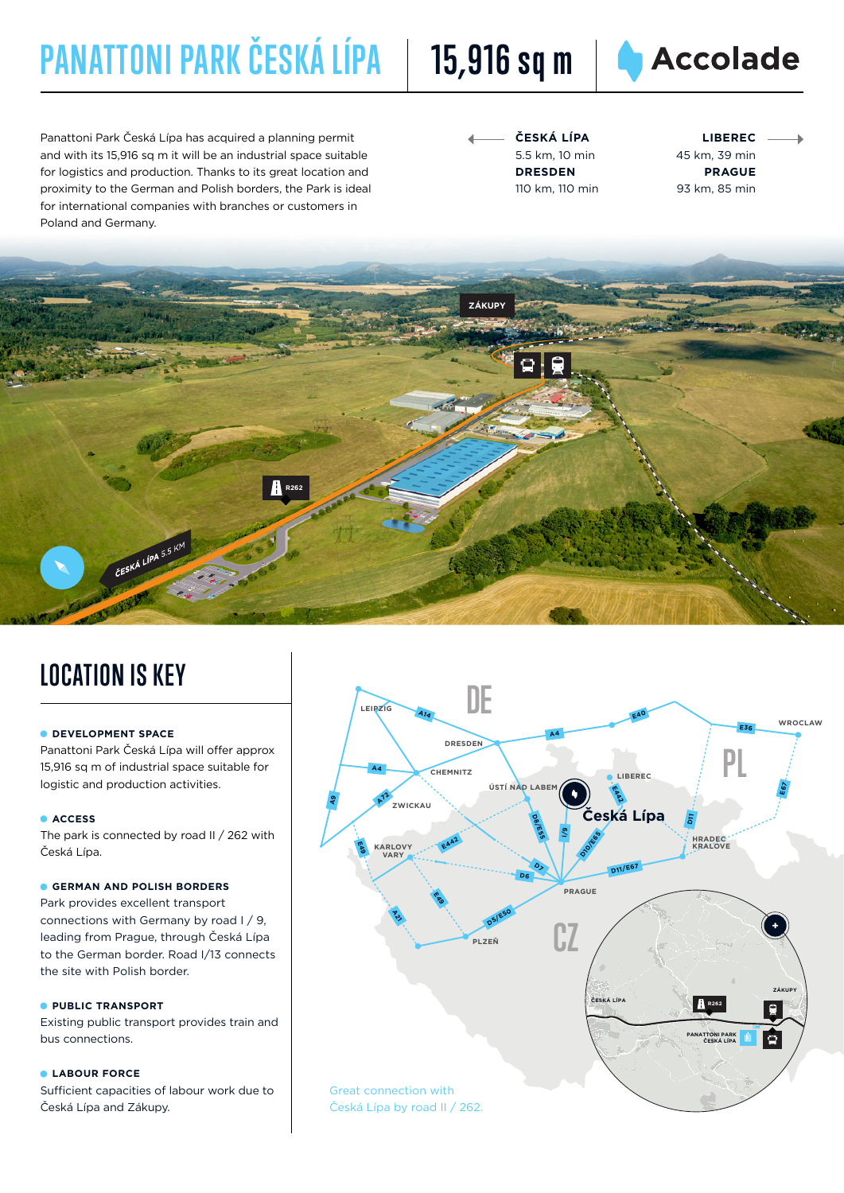# **PANATTONI PARK ČESKÁ LÍPA 15,916 sq m**





Panattoni Park Česká Lípa has acquired a planning permit and with its 15,916 sq m it will be an industrial space suitable for logistics and production. Thanks to its great location and proximity to the German and Polish borders, the Park is ideal for international companies with branches or customers in Poland and Germany.

| ČESKÁ LÍPA      |
|-----------------|
| 5.5 km. 10 min  |
| <b>DRESDEN</b>  |
| 110 km, 110 min |

**LIBEREC** 45 km, 39 min **PRAGUE** 93 km, 85 min



## **LOCATION IS KEY**

### **DEVELOPMENT SPACE**

Panattoni Park Česká Lípa will offer approx 15,916 sq m of industrial space suitable for logistic and production activities.

#### **ACCESS**

The park is connected by road II / 262 with Česká Lípa.

#### **GERMAN AND POLISH BORDERS**

Park provides excellent transport connections with Germany by road I / 9, leading from Prague, through Česká Lípa to the German border. Road I/13 connects the site with Polish border.

#### **PUBLIC TRANSPORT**

Existing public transport provides train and bus connections.

#### **LABOUR FORCE**

Sufficient capacities of labour work due to Česká Lípa and Zákupy.